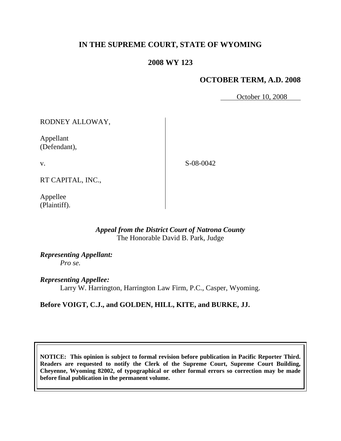# **IN THE SUPREME COURT, STATE OF WYOMING**

## **2008 WY 123**

## **OCTOBER TERM, A.D. 2008**

October 10, 2008

RODNEY ALLOWAY,

Appellant (Defendant),

v.

S-08-0042

RT CAPITAL, INC.,

Appellee (Plaintiff).

## *Appeal from the District Court of Natrona County* The Honorable David B. Park, Judge

*Representing Appellant: Pro se.*

*Representing Appellee:* Larry W. Harrington, Harrington Law Firm, P.C., Casper, Wyoming.

# **Before VOIGT, C.J., and GOLDEN, HILL, KITE, and BURKE, JJ.**

**NOTICE: This opinion is subject to formal revision before publication in Pacific Reporter Third. Readers are requested to notify the Clerk of the Supreme Court, Supreme Court Building, Cheyenne, Wyoming 82002, of typographical or other formal errors so correction may be made before final publication in the permanent volume.**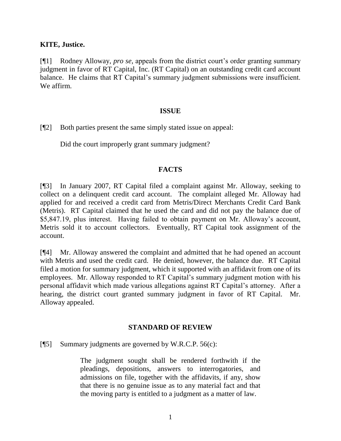#### **KITE, Justice.**

[¶1] Rodney Alloway, *pro se,* appeals from the district court's order granting summary judgment in favor of RT Capital, Inc. (RT Capital) on an outstanding credit card account balance. He claims that RT Capital's summary judgment submissions were insufficient. We affirm.

#### **ISSUE**

[¶2] Both parties present the same simply stated issue on appeal:

Did the court improperly grant summary judgment?

## **FACTS**

[¶3] In January 2007, RT Capital filed a complaint against Mr. Alloway, seeking to collect on a delinquent credit card account. The complaint alleged Mr. Alloway had applied for and received a credit card from Metris/Direct Merchants Credit Card Bank (Metris). RT Capital claimed that he used the card and did not pay the balance due of \$5,847.19, plus interest. Having failed to obtain payment on Mr. Alloway's account, Metris sold it to account collectors. Eventually, RT Capital took assignment of the account.

[¶4] Mr. Alloway answered the complaint and admitted that he had opened an account with Metris and used the credit card. He denied, however, the balance due. RT Capital filed a motion for summary judgment, which it supported with an affidavit from one of its employees. Mr. Alloway responded to RT Capital's summary judgment motion with his personal affidavit which made various allegations against RT Capital's attorney. After a hearing, the district court granted summary judgment in favor of RT Capital. Mr. Alloway appealed.

## **STANDARD OF REVIEW**

 $[$ [ $\%$ ] Summary judgments are governed by W.R.C.P. 56(c):

The judgment sought shall be rendered forthwith if the pleadings, depositions, answers to interrogatories, and admissions on file, together with the affidavits, if any, show that there is no genuine issue as to any material fact and that the moving party is entitled to a judgment as a matter of law.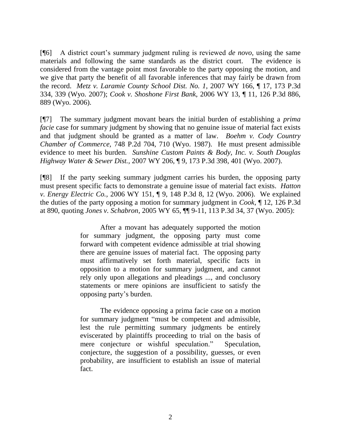[¶6] A district court's summary judgment ruling is reviewed *de novo*, using the same materials and following the same standards as the district court. The evidence is considered from the vantage point most favorable to the party opposing the motion, and we give that party the benefit of all favorable inferences that may fairly be drawn from the record. *Metz v. Laramie County School Dist. No. 1,* 2007 WY 166, ¶ 17, 173 P.3d 334, 339 (Wyo. 2007); *Cook v. Shoshone First Bank,* 2006 WY 13, ¶ 11, 126 P.3d 886, 889 (Wyo. 2006).

[¶7] The summary judgment movant bears the initial burden of establishing a *prima facie* case for summary judgment by showing that no genuine issue of material fact exists and that judgment should be granted as a matter of law. *Boehm v. Cody Country Chamber of Commerce,* 748 P.2d 704, 710 (Wyo. 1987). He must present admissible evidence to meet his burden. *Sunshine Custom Paints & Body, Inc. v. South Douglas Highway Water & Sewer Dist.,* 2007 WY 206, ¶ 9, 173 P.3d 398, 401 (Wyo. 2007).

[¶8] If the party seeking summary judgment carries his burden, the opposing party must present specific facts to demonstrate a genuine issue of material fact exists. *Hatton v. Energy Electric Co.,* 2006 WY 151, ¶ 9, 148 P.3d 8, 12 (Wyo. 2006). We explained the duties of the party opposing a motion for summary judgment in *Cook,* ¶ 12, 126 P.3d at 890, quoting *Jones v. Schabron*, 2005 WY 65, ¶¶ 9-11, 113 P.3d 34, 37 (Wyo. 2005):

> After a movant has adequately supported the motion for summary judgment, the opposing party must come forward with competent evidence admissible at trial showing there are genuine issues of material fact. The opposing party must affirmatively set forth material, specific facts in opposition to a motion for summary judgment, and cannot rely only upon allegations and pleadings ..., and conclusory statements or mere opinions are insufficient to satisfy the opposing party's burden.

> The evidence opposing a prima facie case on a motion for summary judgment "must be competent and admissible, lest the rule permitting summary judgments be entirely eviscerated by plaintiffs proceeding to trial on the basis of mere conjecture or wishful speculation." Speculation, conjecture, the suggestion of a possibility, guesses, or even probability, are insufficient to establish an issue of material fact.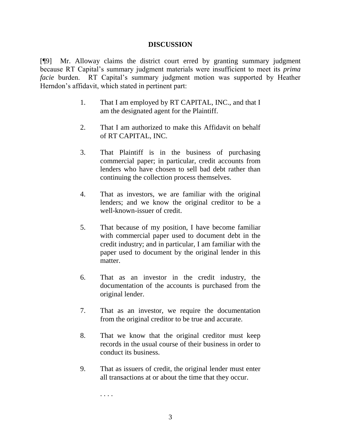#### **DISCUSSION**

[¶9] Mr. Alloway claims the district court erred by granting summary judgment because RT Capital's summary judgment materials were insufficient to meet its *prima facie* burden. RT Capital's summary judgment motion was supported by Heather Herndon's affidavit, which stated in pertinent part:

- 1. That I am employed by RT CAPITAL, INC., and that I am the designated agent for the Plaintiff.
- 2. That I am authorized to make this Affidavit on behalf of RT CAPITAL, INC.
- 3. That Plaintiff is in the business of purchasing commercial paper; in particular, credit accounts from lenders who have chosen to sell bad debt rather than continuing the collection process themselves.
- 4. That as investors, we are familiar with the original lenders; and we know the original creditor to be a well-known-issuer of credit.
- 5. That because of my position, I have become familiar with commercial paper used to document debt in the credit industry; and in particular, I am familiar with the paper used to document by the original lender in this matter.
- 6. That as an investor in the credit industry, the documentation of the accounts is purchased from the original lender.
- 7. That as an investor, we require the documentation from the original creditor to be true and accurate.
- 8. That we know that the original creditor must keep records in the usual course of their business in order to conduct its business.
- 9. That as issuers of credit, the original lender must enter all transactions at or about the time that they occur.

. . . .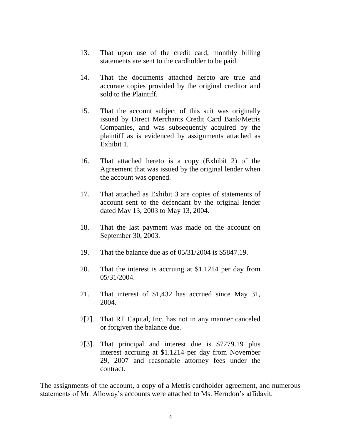- 13. That upon use of the credit card, monthly billing statements are sent to the cardholder to be paid.
- 14. That the documents attached hereto are true and accurate copies provided by the original creditor and sold to the Plaintiff.
- 15. That the account subject of this suit was originally issued by Direct Merchants Credit Card Bank/Metris Companies, and was subsequently acquired by the plaintiff as is evidenced by assignments attached as Exhibit 1.
- 16. That attached hereto is a copy (Exhibit 2) of the Agreement that was issued by the original lender when the account was opened.
- 17. That attached as Exhibit 3 are copies of statements of account sent to the defendant by the original lender dated May 13, 2003 to May 13, 2004.
- 18. That the last payment was made on the account on September 30, 2003.
- 19. That the balance due as of 05/31/2004 is \$5847.19.
- 20. That the interest is accruing at \$1.1214 per day from 05/31/2004.
- 21. That interest of \$1,432 has accrued since May 31, 2004.
- 2[2]. That RT Capital, Inc. has not in any manner canceled or forgiven the balance due.
- 2[3]. That principal and interest due is \$7279.19 plus interest accruing at \$1.1214 per day from November 29, 2007 and reasonable attorney fees under the contract.

The assignments of the account, a copy of a Metris cardholder agreement, and numerous statements of Mr. Alloway's accounts were attached to Ms. Herndon's affidavit.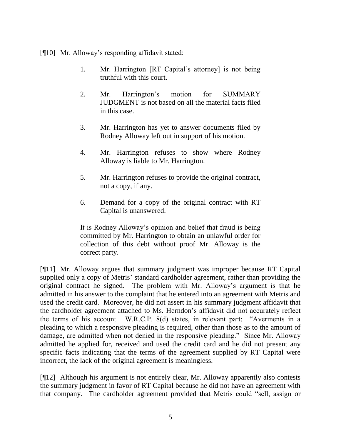[¶10] Mr. Alloway's responding affidavit stated:

- 1. Mr. Harrington [RT Capital's attorney] is not being truthful with this court.
- 2. Mr. Harrington's motion for SUMMARY JUDGMENT is not based on all the material facts filed in this case.
- 3. Mr. Harrington has yet to answer documents filed by Rodney Alloway left out in support of his motion.
- 4. Mr. Harrington refuses to show where Rodney Alloway is liable to Mr. Harrington.
- 5. Mr. Harrington refuses to provide the original contract, not a copy, if any.
- 6. Demand for a copy of the original contract with RT Capital is unanswered.

It is Rodney Alloway's opinion and belief that fraud is being committed by Mr. Harrington to obtain an unlawful order for collection of this debt without proof Mr. Alloway is the correct party.

[¶11] Mr. Alloway argues that summary judgment was improper because RT Capital supplied only a copy of Metris' standard cardholder agreement, rather than providing the original contract he signed. The problem with Mr. Alloway's argument is that he admitted in his answer to the complaint that he entered into an agreement with Metris and used the credit card. Moreover, he did not assert in his summary judgment affidavit that the cardholder agreement attached to Ms. Herndon's affidavit did not accurately reflect the terms of his account. W.R.C.P. 8(d) states, in relevant part: "Averments in a pleading to which a responsive pleading is required, other than those as to the amount of damage, are admitted when not denied in the responsive pleading." Since Mr. Alloway admitted he applied for, received and used the credit card and he did not present any specific facts indicating that the terms of the agreement supplied by RT Capital were incorrect, the lack of the original agreement is meaningless.

[¶12] Although his argument is not entirely clear, Mr. Alloway apparently also contests the summary judgment in favor of RT Capital because he did not have an agreement with that company. The cardholder agreement provided that Metris could "sell, assign or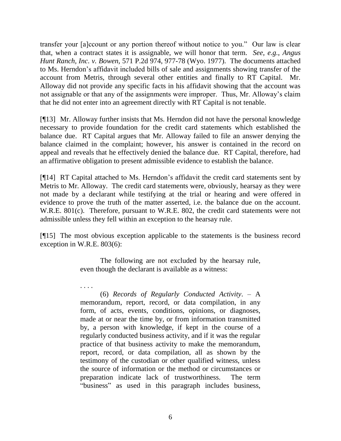transfer your [a]ccount or any portion thereof without notice to you." Our law is clear that, when a contract states it is assignable, we will honor that term. *See, e.g.*, *Angus Hunt Ranch, Inc. v. Bowen,* 571 P.2d 974, 977-78 (Wyo. 1977).The documents attached to Ms. Herndon's affidavit included bills of sale and assignments showing transfer of the account from Metris, through several other entities and finally to RT Capital. Mr. Alloway did not provide any specific facts in his affidavit showing that the account was not assignable or that any of the assignments were improper. Thus, Mr. Alloway's claim that he did not enter into an agreement directly with RT Capital is not tenable.

[¶13] Mr. Alloway further insists that Ms. Herndon did not have the personal knowledge necessary to provide foundation for the credit card statements which established the balance due. RT Capital argues that Mr. Alloway failed to file an answer denying the balance claimed in the complaint; however, his answer is contained in the record on appeal and reveals that he effectively denied the balance due. RT Capital, therefore, had an affirmative obligation to present admissible evidence to establish the balance.

[¶14] RT Capital attached to Ms. Herndon's affidavit the credit card statements sent by Metris to Mr. Alloway. The credit card statements were, obviously, hearsay as they were not made by a declarant while testifying at the trial or hearing and were offered in evidence to prove the truth of the matter asserted, i.e. the balance due on the account. W.R.E. 801(c). Therefore, pursuant to W.R.E. 802, the credit card statements were not admissible unless they fell within an exception to the hearsay rule.

[¶15] The most obvious exception applicable to the statements is the business record exception in W.R.E. 803(6):

> The following are not excluded by the hearsay rule, even though the declarant is available as a witness:

. . . .

(6) *Records of Regularly Conducted Activity*. – A memorandum, report, record, or data compilation, in any form, of acts, events, conditions, opinions, or diagnoses, made at or near the time by, or from information transmitted by, a person with knowledge, if kept in the course of a regularly conducted business activity, and if it was the regular practice of that business activity to make the memorandum, report, record, or data compilation, all as shown by the testimony of the custodian or other qualified witness, unless the source of information or the method or circumstances or preparation indicate lack of trustworthiness. The term "business" as used in this paragraph includes business,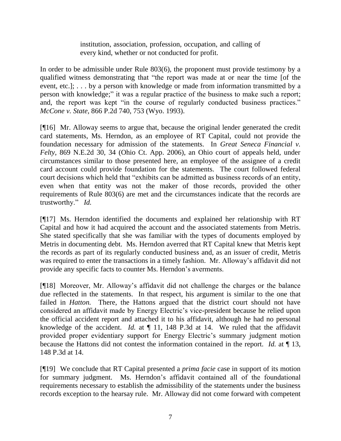institution, association, profession, occupation, and calling of every kind, whether or not conducted for profit.

In order to be admissible under Rule 803(6), the proponent must provide testimony by a qualified witness demonstrating that "the report was made at or near the time [of the event, etc.]; . . . by a person with knowledge or made from information transmitted by a person with knowledge;" it was a regular practice of the business to make such a report; and, the report was kept "in the course of regularly conducted business practices." *McCone v. State,* 866 P.2d 740, 753 (Wyo. 1993).

[¶16] Mr. Alloway seems to argue that, because the original lender generated the credit card statements, Ms. Herndon, as an employee of RT Capital, could not provide the foundation necessary for admission of the statements. In *Great Seneca Financial v. Felty,* 869 N.E.2d 30, 34 (Ohio Ct. App. 2006), an Ohio court of appeals held, under circumstances similar to those presented here, an employee of the assignee of a credit card account could provide foundation for the statements. The court followed federal court decisions which held that "exhibits can be admitted as business records of an entity, even when that entity was not the maker of those records, provided the other requirements of Rule 803(6) are met and the circumstances indicate that the records are trustworthy." *Id.* 

[¶17] Ms. Herndon identified the documents and explained her relationship with RT Capital and how it had acquired the account and the associated statements from Metris. She stated specifically that she was familiar with the types of documents employed by Metris in documenting debt. Ms. Herndon averred that RT Capital knew that Metris kept the records as part of its regularly conducted business and, as an issuer of credit, Metris was required to enter the transactions in a timely fashion. Mr. Alloway's affidavit did not provide any specific facts to counter Ms. Herndon's averments.

[¶18] Moreover, Mr. Alloway's affidavit did not challenge the charges or the balance due reflected in the statements. In that respect, his argument is similar to the one that failed in *Hatton*. There, the Hattons argued that the district court should not have considered an affidavit made by Energy Electric's vice-president because he relied upon the official accident report and attached it to his affidavit, although he had no personal knowledge of the accident. *Id.* at ¶ 11, 148 P.3d at 14. We ruled that the affidavit provided proper evidentiary support for Energy Electric's summary judgment motion because the Hattons did not contest the information contained in the report. *Id.* at  $\P$  13, 148 P.3d at 14.

[¶19] We conclude that RT Capital presented a *prima facie* case in support of its motion for summary judgment. Ms. Herndon's affidavit contained all of the foundational requirements necessary to establish the admissibility of the statements under the business records exception to the hearsay rule. Mr. Alloway did not come forward with competent